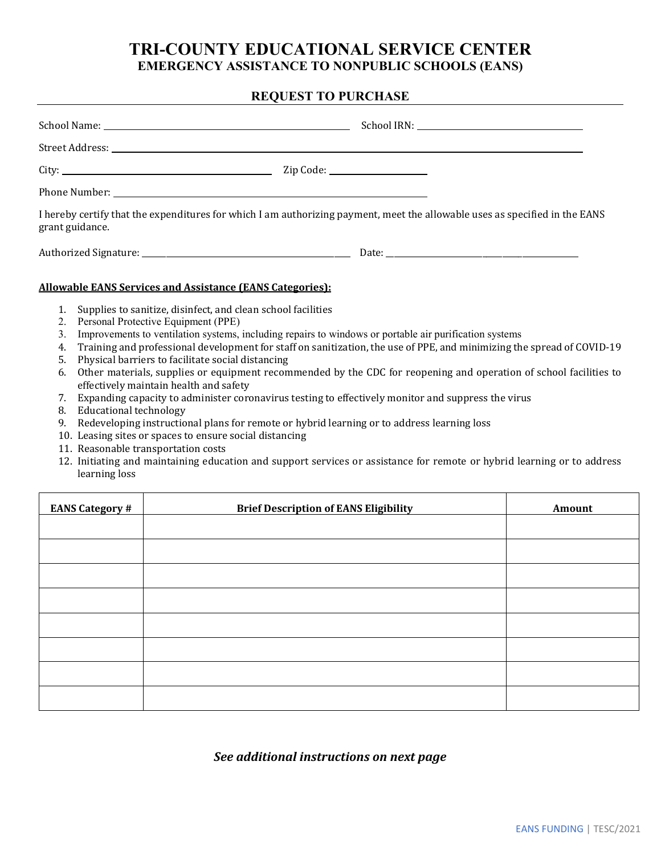## **TRI-COUNTY EDUCATIONAL SERVICE CENTER EMERGENCY ASSISTANCE TO NONPUBLIC SCHOOLS (EANS)**

## **REQUEST TO PURCHASE**

| grant guidance.                                                  | I hereby certify that the expenditures for which I am authorizing payment, meet the allowable uses as specified in the EANS |  |
|------------------------------------------------------------------|-----------------------------------------------------------------------------------------------------------------------------|--|
|                                                                  |                                                                                                                             |  |
| <b>Allowable EANS Services and Assistance (EANS Categories):</b> |                                                                                                                             |  |
| 1. Supplies to sanitize, disinfect, and clean school facilities  |                                                                                                                             |  |

- 2. Personal Protective Equipment (PPE)
- 3. Improvements to ventilation systems, including repairs to windows or portable air purification systems
- 4. Training and professional development for staff on sanitization, the use of PPE, and minimizing the spread of COVID-19
- 5. Physical barriers to facilitate social distancing
- 6. Other materials, supplies or equipment recommended by the CDC for reopening and operation of school facilities to effectively maintain health and safety
- 7. Expanding capacity to administer coronavirus testing to effectively monitor and suppress the virus
- 8. Educational technology
- 9. Redeveloping instructional plans for remote or hybrid learning or to address learning loss
- 10. Leasing sites or spaces to ensure social distancing
- 11. Reasonable transportation costs
- 12. Initiating and maintaining education and support services or assistance for remote or hybrid learning or to address learning loss

| <b>EANS Category #</b> | <b>Brief Description of EANS Eligibility</b> | Amount |
|------------------------|----------------------------------------------|--------|
|                        |                                              |        |
|                        |                                              |        |
|                        |                                              |        |
|                        |                                              |        |
|                        |                                              |        |
|                        |                                              |        |
|                        |                                              |        |
|                        |                                              |        |

*See additional instructions on next page*